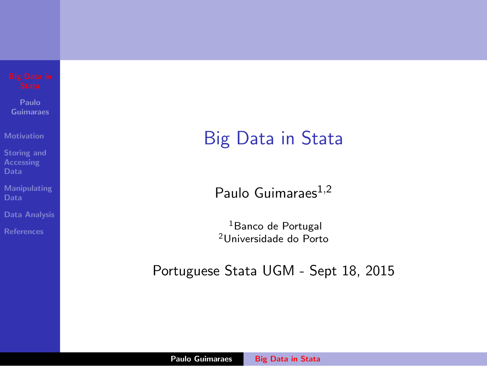**Paulo Guimaraes**

**Motivation**

**Storing and**

**Manipulating**

**Data Analysis**

Big Data in Stata

Paulo Guimaraes1*,*<sup>2</sup>

<sup>1</sup>Banco de Portugal <sup>2</sup>Universidade do Porto

Portuguese Stata UGM - Sept 18, 2015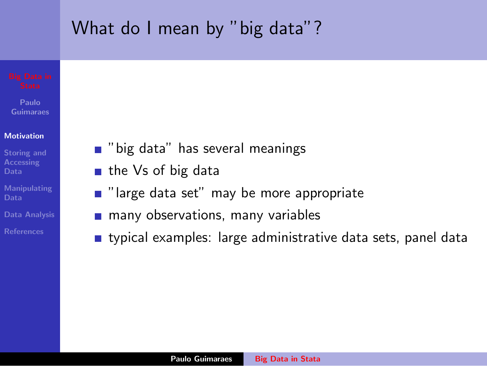# What do I mean by "big data"?

**Paulo Guimaraes**

### **Motivation**

- **Storing and Data**
- **Manipulating Data**
- **Data Analysis**
- 
- **Demographical is in the several meanings**
- $\blacksquare$  the Vs of big data
- $\blacksquare$  "large data set" may be more appropriate
- **n** many observations, many variables
- **typical examples: large administrative data sets, panel data**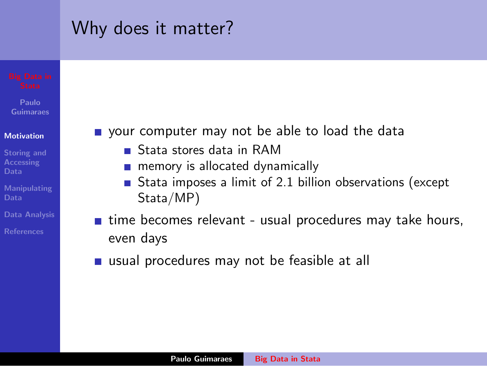# Why does it matter?

**Paulo Guimaraes**

### **Motivation**

- **Storing and Accessing Data**
- **Manipulating**
- **Data Analysis**
- 
- vour computer may not be able to load the data
	- Stata stores data in RAM
	- **n** memory is allocated dynamically
	- Stata imposes a limit of 2.1 billion observations (except Stata/MP)
- $\blacksquare$  time becomes relevant usual procedures may take hours, even days
- usual procedures may not be feasible at all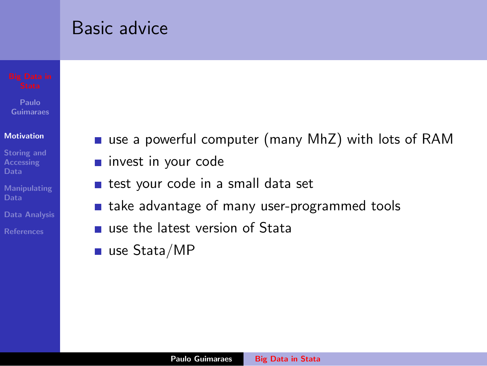## Basic advice

**Paulo Guimaraes**

### **Motivation**

**Storing and Data**

**Manipulating Data**

**Data Analysis**

- use a powerful computer (many MhZ) with lots of RAM
- **n** invest in your code
- test your code in a small data set  $\mathcal{L}_{\mathcal{A}}$
- **take advantage of many user-programmed tools**
- use the latest version of Stata
- use Stata/MP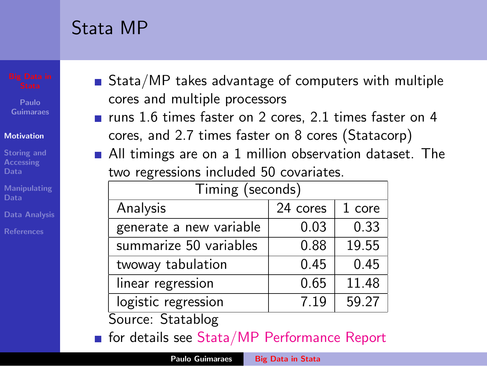# Stata MP

**Paulo Guimaraes**

### **Motivation**

- **Storing and Accessing Data**
- **Manipulating**
- 
- **References**
- Stata/MP takes advantage of computers with multiple cores and multiple processors
- $\blacksquare$  runs 1.6 times faster on 2 cores, 2.1 times faster on 4 cores, and 2.7 times faster on 8 cores (Statacorp)
- All timings are on a 1 million observation dataset. The two regressions included 50 covariates.

| Timing (seconds)        |          |        |
|-------------------------|----------|--------|
| Analysis                | 24 cores | 1 core |
| generate a new variable | 0.03     | 0.33   |
| summarize 50 variables  | 0.88     | 19.55  |
| twoway tabulation       | 0.45     | 0.45   |
| linear regression       | 0.65     | 11.48  |
| logistic regression     | 7.19     | 59.27  |

Source: Statablog

for details see Stata/MP Performance Report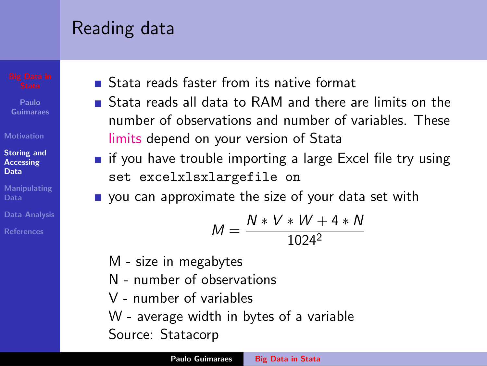# Reading data

**Paulo Guimaraes**

### **Motivation**

### **Storing and Accessing Data**

- **Manipulating**
- **Data Analysis**
- **References**
- Stata reads faster from its native format
- **Stata reads all data to RAM and there are limits on the** number of observations and number of variables. These limits depend on your version of Stata
- **if** you have trouble importing a large Excel file try using set excelxlsxlargefile on
- vou can approximate the size of your data set with

$$
M = \frac{N * V * W + 4 * N}{1024^2}
$$

- M size in megabytes
- N number of observations
- V number of variables
- W average width in bytes of a variable
- Source: Statacorp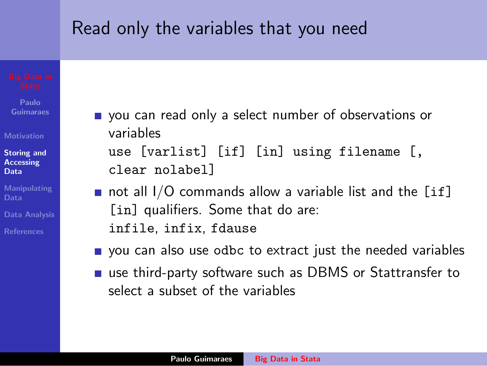## Read only the variables that you need

**Paulo Guimaraes**

**Motivation**

**Storing and Accessing Data**

**Manipulating**

**Data Analysis**

vou can read only a select number of observations or variables

use [varlist] [if] [in] using filename [, clear nolabel]

- not all  $1/O$  commands allow a variable list and the [if] [in] qualifiers. Some that do are: infile, infix, fdause
- **p** you can also use odbc to extract just the needed variables
- use third-party software such as DBMS or Stattransfer to select a subset of the variables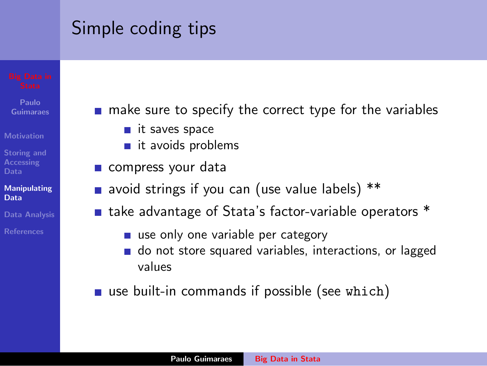# Simple coding tips

- **Paulo Guimaraes**
- **Motivation**
- **Storing and Accessing Data**
- **Manipulating Data**
- **Data Analysis**
- 
- $\blacksquare$  make sure to specify the correct type for the variables
	- it saves space
	- $\blacksquare$  it avoids problems
	- compress your data
	- avoid strings if you can (use value labels) \*\*
	- take advantage of Stata's factor-variable operators \*
		- use only one variable per category
		- do not store squared variables, interactions, or lagged values
	- $\blacksquare$  use built-in commands if possible (see which)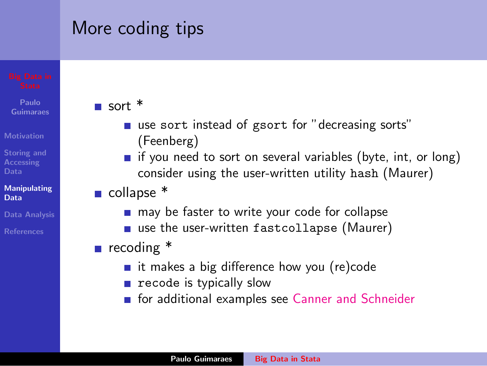# More coding tips

- **Paulo Guimaraes**
- **Motivation**
- **Storing and Accessing Data**

### **Manipulating Data**

- **Data Analysis**
- 

## sort \*

- use sort instead of gsort for "decreasing sorts" (Feenberg)
- $\blacksquare$  if you need to sort on several variables (byte, int, or long) consider using the user-written utility hash (Maurer)
- collapse \*
	- may be faster to write your code for collapse
	- use the user-written fastcollapse (Maurer)
- recoding  $*$ 
	- $\blacksquare$  it makes a big difference how you (re)code
	- $\blacksquare$  recode is typically slow
	- **For additional examples see Canner and Schneider**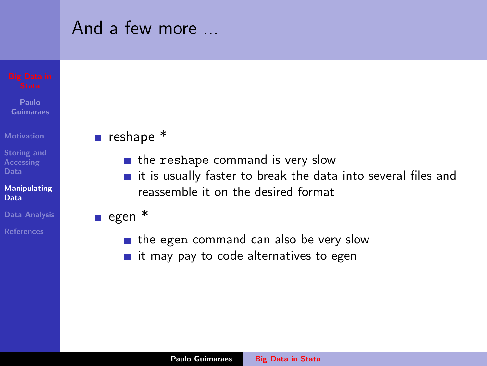### **Paulo Guimaraes Motivation Storing and Accessing Data Manipulating Data Data Analysis** And a few more ... reshape  $*$  $\blacksquare$  the reshape command is very slow  $\blacksquare$  it is usually faster to break the data into several files and reassemble it on the desired format egen  $*$  $\blacksquare$  the egen command can also be very slow  $\blacksquare$  it may pay to code alternatives to egen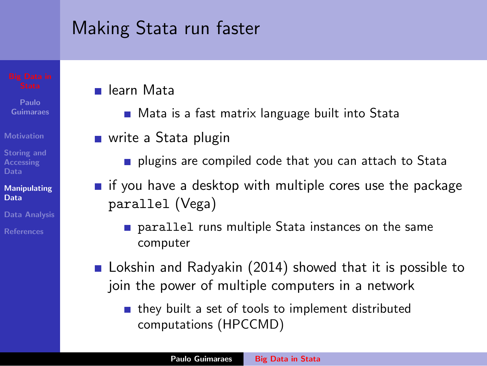# Making Stata run faster

- **Paulo Guimaraes**
- **Motivation**
- **Storing and Accessing**

### **Manipulating Data**

- **Data Analysis**
- 

## **■ learn Mata**

- Mata is a fast matrix language built into Stata
- write a Stata plugin
	- **plugins are compiled code that you can attach to Stata**
- $\blacksquare$  if you have a desktop with multiple cores use the package parallel (Vega)
	- **parallel runs multiple Stata instances on the same** computer
- **E** Lokshin and Radyakin (2014) showed that it is possible to join the power of multiple computers in a network
	- $\blacksquare$  they built a set of tools to implement distributed computations (HPCCMD)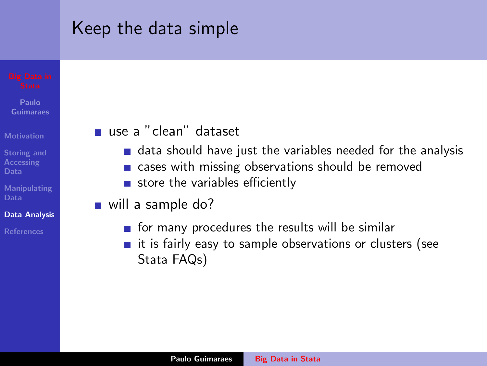## Keep the data simple

**Paulo Guimaraes**

- **Motivation**
- **Storing and Accessing**
- **Manipulating**
- **Data Analysis**
- 

## use a "clean" dataset

- data should have just the variables needed for the analysis
- cases with missing observations should be removed
- store the variables efficiently
- will a sample do?
	- $\blacksquare$  for many procedures the results will be similar
	- $\blacksquare$  it is fairly easy to sample observations or clusters (see Stata FAQs)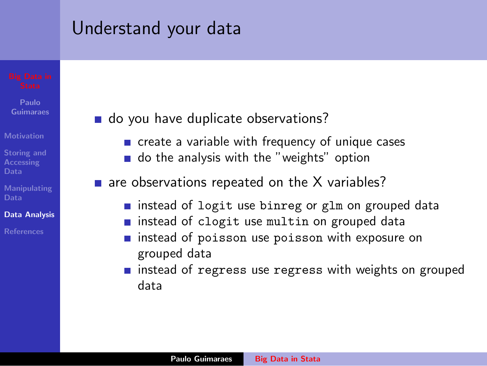## Understand your data

**Paulo Guimaraes**

**Motivation**

**Storing and Accessing Data**

**Manipulating**

### **Data Analysis**

**References**

## do you have duplicate observations?

- **n** create a variable with frequency of unique cases
- o do the analysis with the "weights" option
- $\blacksquare$  are observations repeated on the X variables?
	- instead of logit use binreg or glm on grouped data
	- **n** instead of clogit use multin on grouped data
	- **n** instead of poisson use poisson with exposure on grouped data
	- **n** instead of regress use regress with weights on grouped data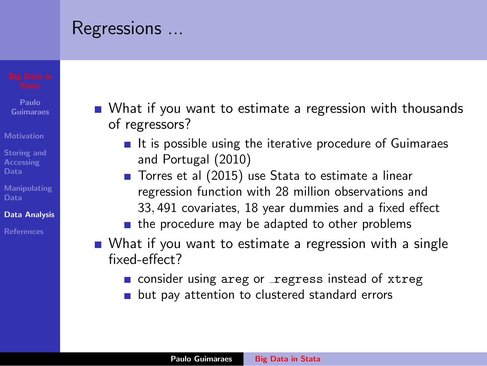## Regressions ...

- **Paulo Guimaraes**
- **Motivation**
- **Storing and Accessing**
- **Manipulating**
- **Data Analysis**
- **References**
- What if you want to estimate a regression with thousands of regressors?
	- $\blacksquare$  It is possible using the iterative procedure of Guimaraes and Portugal (2010)
	- Torres et al (2015) use Stata to estimate a linear regression function with 28 million observations and 33*,* 491 covariates, 18 year dummies and a fixed effect
	- $\blacksquare$  the procedure may be adapted to other problems
- What if you want to estimate a regression with a single fixed-effect?
	- consider using areg or regress instead of xtreg
	- **but pay attention to clustered standard errors**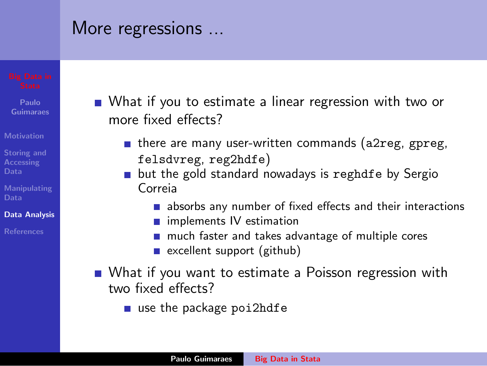## More regressions ...

- **Paulo Guimaraes**
- **Motivation**
- **Storing and Accessing Data**
- **Manipulating**
- **Data Analysis**
- **References**
- What if you to estimate a linear regression with two or more fixed effects?
	- $\blacksquare$  there are many user-written commands (a2reg, gpreg, felsdvreg, reg2hdfe)
	- **but the gold standard nowadays is reghdfe by Sergio** Correia
		- absorbs any number of fixed effects and their interactions
		- **n** implements IV estimation
		- much faster and takes advantage of multiple cores
		- $\blacksquare$  excellent support (github)
- What if you want to estimate a Poisson regression with two fixed effects?
	- $\blacksquare$  use the package poi2hdfe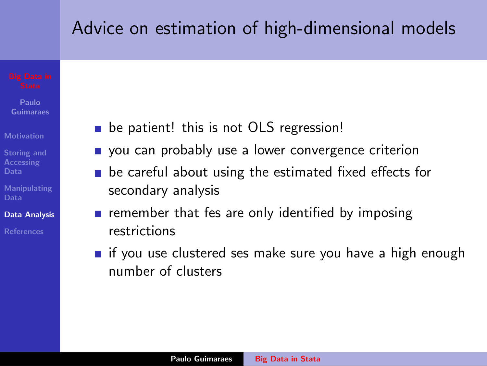## Advice on estimation of high-dimensional models

**Paulo Guimaraes**

**Motivation**

**Storing and Accessing Data**

**Manipulating Data**

**Data Analysis**

- **be patient! this is not OLS regression!**
- vou can probably use a lower convergence criterion
- $\blacksquare$  be careful about using the estimated fixed effects for secondary analysis
- **Examplement respect** respectively identified by imposing restrictions
- **if** you use clustered ses make sure you have a high enough number of clusters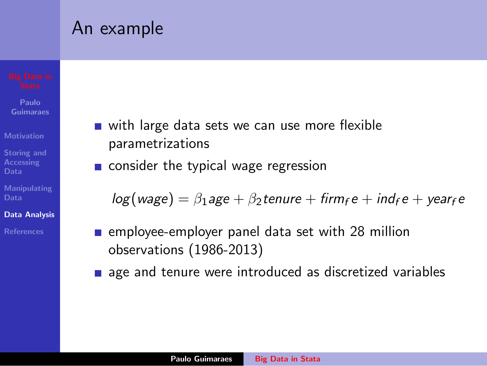## An example

**Paulo Guimaraes**

**Motivation**

**Storing and Accessing**

**Manipulating Data**

**Data Analysis**

- with large data sets we can use more flexible  $\mathcal{L}_{\mathcal{A}}$ parametrizations
- consider the typical wage regression

 $log(wage) = \beta_1age + \beta_2te$ *nure* + *firm*<sub>f</sub> *e* + *ind*<sub>f</sub> *e* + *year*<sub>f</sub> *e* 

- $\blacksquare$  employee-employer panel data set with 28 million observations (1986-2013)
- **a** age and tenure were introduced as discretized variables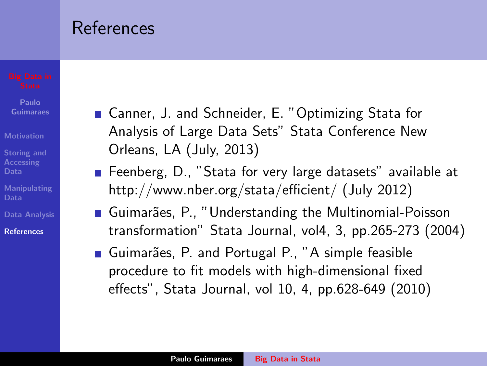## References

- **Paulo Guimaraes**
- **Motivation**
- **Storing and Accessing Data**
- **Manipulating Data**
- **Data Analysis**
- **References**
- Canner, J. and Schneider, E. "Optimizing Stata for Analysis of Large Data Sets" Stata Conference New Orleans, LA (July, 2013)
- Feenberg, D., "Stata for very large datasets" available at http://www.nber.org/stata/efficient/ (July 2012)
- Guimarães, P., "Understanding the Multinomial-Poisson transformation" Stata Journal, vol4, 3, pp.265-273 (2004)
- Guimarães, P. and Portugal P., "A simple feasible procedure to fit models with high-dimensional fixed effects", Stata Journal, vol 10, 4, pp.628-649 (2010)